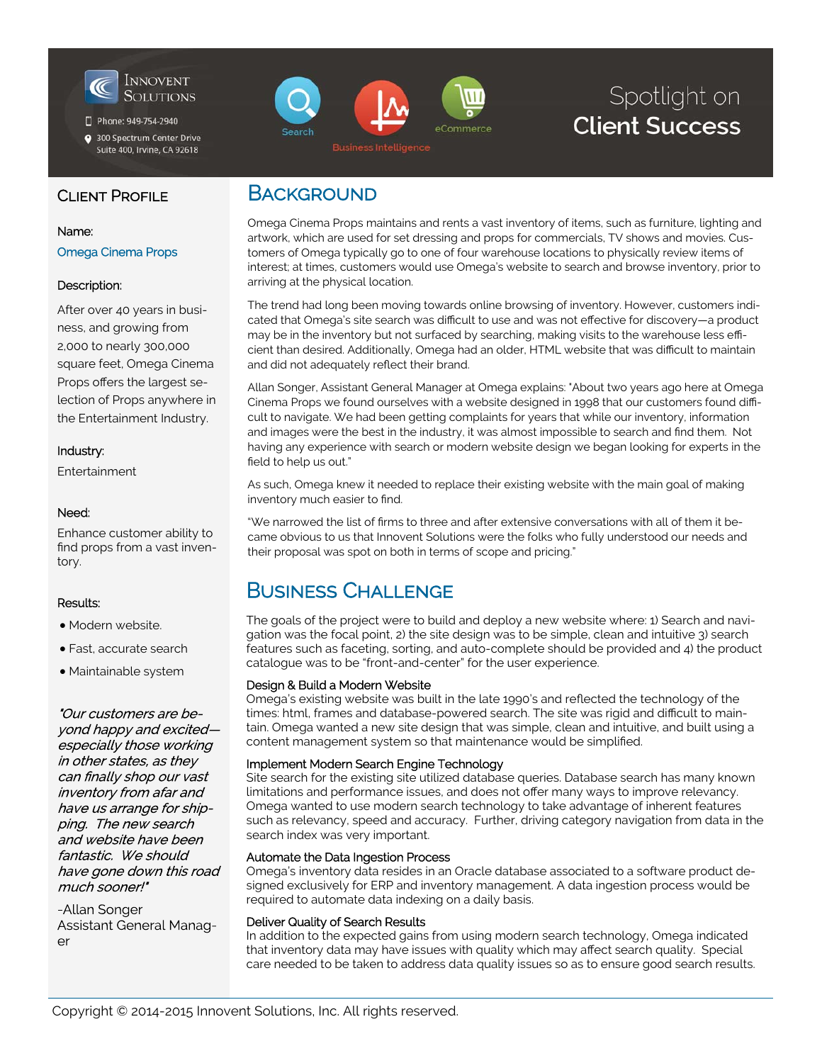

Phone: 949-754-2940

300 Spectrum Center Drive Suite 400, Irvine, CA 92618

# eCommerce

# Spotlight on **Client Success**

## CLIENT PROFILE

#### Name:

Omega Cinema Props

#### Description:

After over 40 years in business, and growing from 2,000 to nearly 300,000 square feet, Omega Cinema Props offers the largest selection of Props anywhere in the Entertainment Industry.

#### Industry:

Entertainment

#### Need:

Enhance customer ability to find props from a vast inventory.

#### Results:

- Modern website.
- Fast, accurate search

Maintainable system

"Our customers are beyond happy and excitedespecially those working in other states, as they can finally shop our vast inventory from afar and have us arrange for shipping. The new search and website have been fantastic. We should have gone down this road much sooner!"

-Allan Songer **Assistant General Manag**er

## **BACKGROUND**

Omega Cinema Props maintains and rents a vast inventory of items, such as furniture, lighting and artwork, which are used for set dressing and props for commercials, TV shows and movies. Customers of Omega typically go to one of four warehouse locations to physically review items of interest; at times, customers would use Omega's website to search and browse inventory, prior to arriving at the physical location.

The trend had long been moving towards online browsing of inventory. However, customers indicated that Omega's site search was difficult to use and was not effective for discovery—a product may be in the inventory but not surfaced by searching, making visits to the warehouse less efficient than desired. Additionally, Omega had an older, HTML website that was difficult to maintain and did not adequately reflect their brand.

Allan Songer, Assistant General Manager at Omega explains: "About two years ago here at Omega Cinema Props we found ourselves with a website designed in 1998 that our customers found difficult to navigate. We had been getting complaints for years that while our inventory, information and images were the best in the industry, it was almost impossible to search and find them. Not having any experience with search or modern website design we began looking for experts in the field to help us out."

As such, Omega knew it needed to replace their existing website with the main goal of making inventory much easier to find.

"We narrowed the list of firms to three and after extensive conversations with all of them it became obvious to us that Innovent Solutions were the folks who fully understood our needs and their proposal was spot on both in terms of scope and pricing."

## BUSINESS CHALLENGE

The goals of the project were to build and deploy a new website where: 1) Search and navigation was the focal point, 2) the site design was to be simple, clean and intuitive 3) search features such as faceting, sorting, and auto-complete should be provided and 4) the product catalogue was to be "front-and-center" for the user experience.

#### Design & Build a Modern Website

Omega's existing website was built in the late 1990's and reflected the technology of the times: html, frames and database-powered search. The site was rigid and difficult to maintain. Omega wanted a new site design that was simple, clean and intuitive, and built using a content management system so that maintenance would be simplified.

#### Implement Modern Search Engine Technology

Site search for the existing site utilized database queries. Database search has many known limitations and performance issues, and does not offer many ways to improve relevancy. Omega wanted to use modern search technology to take advantage of inherent features such as relevancy, speed and accuracy. Further, driving category navigation from data in the search index was very important.

#### Automate the Data Ingestion Process

Omega's inventory data resides in an Oracle database associated to a software product designed exclusively for ERP and inventory management. A data ingestion process would be required to automate data indexing on a daily basis.

#### Deliver Quality of Search Results

In addition to the expected gains from using modern search technology, Omega indicated that inventory data may have issues with quality which may affect search quality. Special care needed to be taken to address data quality issues so as to ensure good search results.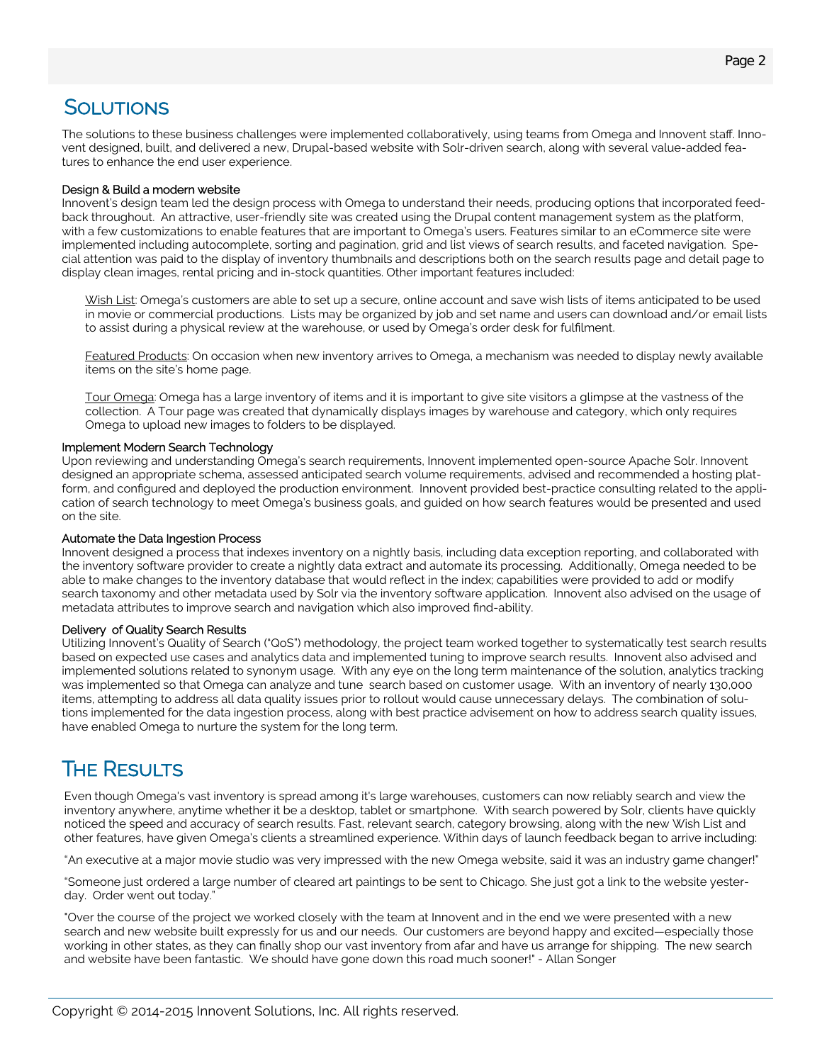## **SOLUTIONS**

The solutions to these business challenges were implemented collaboratively, using teams from Omega and Innovent staff. Innovent designed, built, and delivered a new, Drupal-based website with Solr-driven search, along with several value-added features to enhance the end user experience.

#### Design & Build a modern website

Innovent's design team led the design process with Omega to understand their needs, producing options that incorporated feedback throughout. An attractive, user-friendly site was created using the Drupal content management system as the platform, with a few customizations to enable features that are important to Omega's users. Features similar to an eCommerce site were implemented including autocomplete, sorting and pagination, grid and list views of search results, and faceted navigation. Special attention was paid to the display of inventory thumbnails and descriptions both on the search results page and detail page to display clean images, rental pricing and in-stock quantities. Other important features included:

Wish List: Omega's customers are able to set up a secure, online account and save wish lists of items anticipated to be used in movie or commercial productions. Lists may be organized by job and set name and users can download and/or email lists to assist during a physical review at the warehouse, or used by Omega's order desk for fulfilment.

Featured Products: On occasion when new inventory arrives to Omega, a mechanism was needed to display newly available items on the site's home page.

Tour Omega: Omega has a large inventory of items and it is important to give site visitors a glimpse at the vastness of the collection. A Tour page was created that dynamically displays images by warehouse and category, which only requires Omega to upload new images to folders to be displayed.

#### Implement Modern Search Technology

Upon reviewing and understanding Omega's search requirements, Innovent implemented open-source Apache Solr. Innovent designed an appropriate schema, assessed anticipated search volume requirements, advised and recommended a hosting platform, and configured and deployed the production environment. Innovent provided best-practice consulting related to the application of search technology to meet Omega's business goals, and guided on how search features would be presented and used on the site.

#### Automate the Data Ingestion Process

Innovent designed a process that indexes inventory on a nightly basis, including data exception reporting, and collaborated with the inventory software provider to create a nightly data extract and automate its processing. Additionally, Omega needed to be able to make changes to the inventory database that would reflect in the index; capabilities were provided to add or modify search taxonomy and other metadata used by Solr via the inventory software application. Innovent also advised on the usage of metadata attributes to improve search and navigation which also improved find-ability.

#### Delivery of Quality Search Results

Utilizing Innovent's Quality of Search ("QoS") methodology, the project team worked together to systematically test search results based on expected use cases and analytics data and implemented tuning to improve search results. Innovent also advised and implemented solutions related to synonym usage. With any eye on the long term maintenance of the solution, analytics tracking was implemented so that Omega can analyze and tune search based on customer usage. With an inventory of nearly 130,000 items, attempting to address all data quality issues prior to rollout would cause unnecessary delays. The combination of solutions implemented for the data ingestion process, along with best practice advisement on how to address search quality issues, have enabled Omega to nurture the system for the long term.

## **THE RESULTS**

Even though Omega's vast inventory is spread among it's large warehouses, customers can now reliably search and view the inventory anywhere, anytime whether it be a desktop, tablet or smartphone. With search powered by Solr, clients have quickly noticed the speed and accuracy of search results. Fast, relevant search, category browsing, along with the new Wish List and other features, have given Omega's clients a streamlined experience. Within days of launch feedback began to arrive including:

"An executive at a major movie studio was very impressed with the new Omega website, said it was an industry game changer!"

"Someone just ordered a large number of cleared art paintings to be sent to Chicago. She just got a link to the website yesterday. Order went out today."

"Over the course of the project we worked closely with the team at Innovent and in the end we were presented with a new search and new website built expressly for us and our needs. Our customers are beyond happy and excited—especially those working in other states, as they can finally shop our vast inventory from afar and have us arrange for shipping. The new search and website have been fantastic. We should have gone down this road much sooner!" - Allan Songer